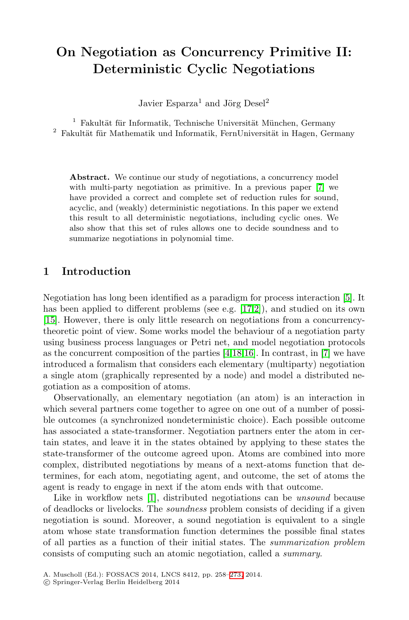# **On Negotiation as Concurrency Primitive II: Deterministic Cyclic Negotiations**

Javier Esparza<sup>1</sup> and Jörg [D](#page-14-0)esel<sup>2</sup>

 $1$  Fakultät für Informatik, Technische Universität München, Germany  $^2\,$ Fakultät für Mathematik und Informatik, FernUniversität in Hagen, Germany

Abstract. We continue our study of negotiations, a concurrency model with multi-party negotiation as primitive. In a previous paper [7] we have provided a correct and complete set of reduction rules for sound, acyclic, and (weakly) deterministic negotiations. In th[is p](#page-14-1)aper we extend this result to all deterministic negotiations, including cyclic ones. We also show that this set of [rul](#page-15-0)[es](#page-14-2) allows one to decide soundness and to summarize negotiations in polynomial time.

# **1 Introduction**

Negotiation has long been identified as a paradigm for process interaction [5]. It has been applied to different problems (see e.g. [17,2]), and studied on its own [15]. However, there is only little research on negotiations from a concurrencytheoretic point of view. Some works model the behaviour of a negotiation party using business process languages or Petri net, and model negotiation protocols as the concurrent composition of the parties [4,18,16]. In contrast, in [7] we have introduced a formalism that considers each elementary (multiparty) negotiation a single atom (graphically represented by a node) and model a distributed negotiation as a composition of atoms.

Observationally, an elementary negotiation (an atom) is an interaction in which s[eve](#page-14-3)ral partners come together to agree on one out of a number of possible outcomes (a synchronized nondeterministic choice). Each possible outcome has associated a state-transformer. Negotiation partners enter the atom in certain states, and leave it in the states obtained by applying to these states the state-transformer of the outcome agreed upon. Atoms are combined into more complex, distributed negotiations by means of a next-atoms function that determines, for each atom, negotiating agent, and outcome, the set of atoms the agent is ready to engage in [next](#page-15-1) if the atom ends with that outcome.

Like in workflow nets [1], distributed negotiations can be *unsound* because of deadlocks or livelocks. The *soundness* problem consists of deciding if a given negotiation is sound. Moreover, a sound negotiation is equivalent to a single atom whose state transformation function determines the possible final states of all parties as a function of their initial states. The *summarization problem* consists of computing such an atomic negotiation, called a *summary*.

A. Muscholl (Ed.): FOSSACS 2014, LNCS 8412, pp. 258–273, 2014.

<sup>-</sup>c Springer-Verlag Berlin Heidelberg 2014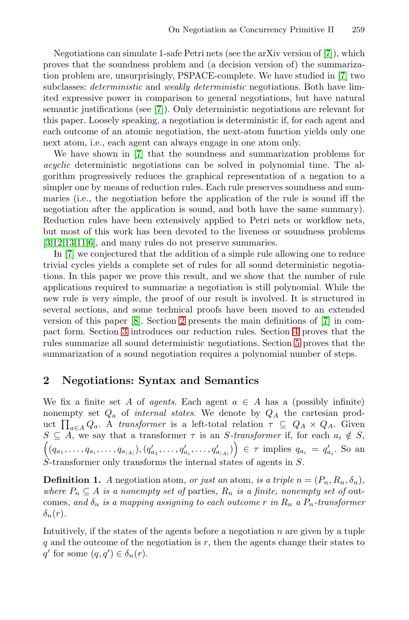Negotiations can simulate 1-safe Petri nets (see the arXiv version of [7]), which prov[es](#page-14-0) that the soundness problem and (a decision version of) the summarization problem are, unsurprisingly, PSPACE-complete. We have studied in [7] two subclasses: *deterministic* and *weakly deterministic* negotiations. Both have limited expressive power in comparison to general negotiations, but have natural semantic justifications (see [7]). Only deterministic negotiations are relevant for this paper. Loosely speaking, a negotiation is deterministic if, for each agent and each outcome of an atomic negotiation, the next-atom function yields only one next atom, i.e., each agent can always engage in one atom only.

We have shown in [7] that the soundness and summarization problems for *acyclic* deterministic negotiations can be solved in polynomial time. The algorithm progressively reduces the graphical representation of a negation to a simpler one by means of reduction rules. Each rule preserves soundness and summaries (i.e., the negotiation before the application of the rule is sound iff the negotiation after the application is sound, and both have the same summary). Reduction rules have been extensively applied to Petri nets or workflow nets, but [m](#page-14-4)ost of thi[s](#page-1-0) work has been devoted to the liv[en](#page-14-0)ess or soundness problems [[3,1](#page-4-0)2,13,11,6], and many rules do not preser[ve](#page-6-0) summaries.

<span id="page-1-0"></span>In [7] we conjectured that the addition of [a](#page-10-0) simple rule allowing one to reduce trivial cycles yields a complete set of rules for all sound deterministic negotiations. In this paper we prove this result, and we show that the number of rule applications required to summarize a negotiation is still polynomial. While the new rule is very simple, the proof of our result is involved. It is structured in several sections, and some technical proofs have been moved to an extended version of this paper [8]. Section 2 presents the main definitions of [7] in compact form. Section 3 introduces our reduction rules. Section 4 proves that the rules summarize all sound deterministic negotiations. Section 5 proves that the summarization of a sound negotiation requires a polynomial number of steps.

# **2 Negotiations: Syntax and Semantics**

We fix a finite set A of *agents*. Each agent  $a \in A$  has a (possibly infinite) nonempty set  $Q_a$  of *internal states*. We denote by  $Q_A$  the cartesian product  $\prod_{a\in A} Q_a$ . A *transformer* is a left-total relation  $\tau \subseteq Q_A \times Q_A$ . Given  $S \subseteq A$ , we say that a transformer  $\tau$  is an *S*-transformer if, for each  $a_i \notin S$ ,<br> $(a_i \ a_i \ a_{i-1}) (a' \ a' \ a' \ ) \in \tau$  implies  $a_i \equiv a'$ . So an  $(q_{a_1},...,q_{a_i},...,q_{a_{|A|}}), (q'_{a_1},...,q'_{a_i},...,q'_{a_{|A|}}) \right) \in \tau$  implies  $q_{a_i} = q'_{a_i}$ . So an S-transformer only transforms the internal states of agents in S.

**Definition 1.** *A* negotiation atom, *or just an* atom, *is a triple*  $n = (P_n, R_n, \delta_n)$ , *where*  $P_n \subseteq A$  *is a nonempty set of parties,*  $R_n$  *is a finite, nonempty set of out*comes, and  $\delta_n$  *is a mapping assigning to each outcome* r *in*  $R_n$  *a*  $P_n$ -transformer  $\delta_n(r)$ .

Intuitively, if the states of the agents before a negotiation  $n$  are given by a tuple  $q$  and the outcome of the negotiation is  $r$ , then the agents change their states to  $q'$  for some  $(q, q') \in \delta_n(r)$ .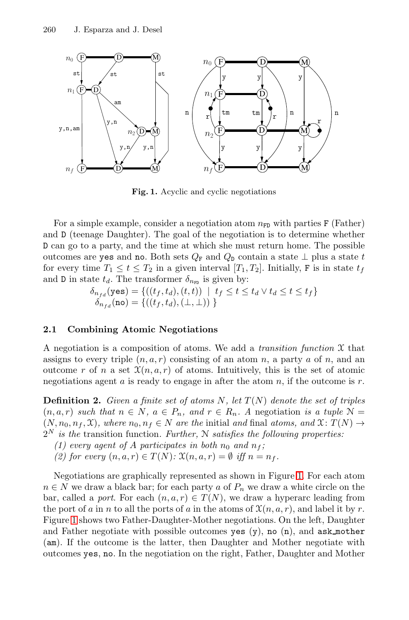<span id="page-2-0"></span>

**Fig. 1.** Acyclic and cyclic negotiations

For a simple example, consider a negotiation atom  $n_{FD}$  with parties F (Father) and D (teenage Daughter). The goal of the negotiation is to determine whether D can go to a party, and the time at which she must return home. The possible outcomes are yes and no. Both sets  $Q_F$  and  $Q_D$  contain a state  $\perp$  plus a state t for every time  $T_1 \le t \le T_2$  in a given interval  $[T_1, T_2]$ . Initially, F is in state  $t_f$ and D in state  $t_d$ . The transformer  $\delta_{n_{\text{FD}}}$  is given by:

 $\delta_{n_{fd}}(\mathtt{yes}) = \{((t_f, t_d), (t, t)) \mid t_f \le t \le t_d \vee t_d \le t \le t_f\}$  $\delta_{n_{fd}}(\texttt{no}) = \{((t_f, t_d), (\perp, \perp))\}\$ 

## **2.1 Combining Atomic Negotiations**

A negotiation is a composition of atoms. We add a *transition function* X that assigns to every triple  $(n, a, r)$  consisting of an atom n, a party a of n, and an outcome r of n a set  $\mathfrak{X}(n, a, r)$  of atoms. Intuitively, this is the set of atomic negotiations agent a is ready to engage in after the atom n, if the outcome is  $r$ .

**Definition 2.** *Given a finite set of atoms*  $N$ *, let*  $T(N)$  *denote the set of triples*  $(n, a, r)$  *such that*  $n \in N$ ,  $a \in P_n$ , and  $r \in R_n$ . A negotiation *is a tuple*  $N =$  $(N, n_0, n_f, \mathfrak{X})$ , where  $n_0, n_f \in N$  are the initial and final atoms, and  $\mathfrak{X}: T(N) \to$ 2<sup>N</sup> *is the* transition function*. Further,* N *satisfies the following properties:*

- *(1) every agent of A participates in both*  $n_0$  *and*  $n_f$ ;
- (2) for every  $(n, a, r) \in T(N)$ :  $\mathfrak{X}(n, a, r) = \emptyset$  iff  $n = n_f$ .

Negotiations are graphically represented as shown in Figure 1. For each atom  $n \in N$  we draw a black bar; for each party a of  $P_n$  we draw a white circle on the bar, called a *port*. For each  $(n, a, r) \in T(N)$ , we draw a hyperarc leading from the port of a in n to all the ports of a in the atoms of  $\mathfrak{X}(n, a, r)$ , and label it by r. Figure 1 shows two Father-Daughter-Mother negotiations. On the left, Daughter and Father negotiate with possible outcomes yes  $(y)$ , no  $(n)$ , and ask mother (am). If the outcome is the latter, then Daughter and Mother negotiate with outcomes yes, no. In the negotiation on the right, Father, Daughter and Mother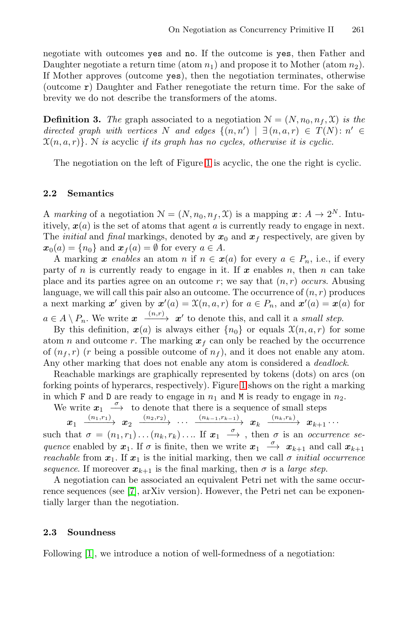negotiate with outcomes yes and no. If the outcome is yes, then Father and Daughter negotiate a return time (atom  $n_1$ ) and propose it to Mother (atom  $n_2$ ). If Mother approves ([out](#page-2-0)come yes), then the negotiation terminates, otherwise (outcome  $r$ ) Daughter and Father renegotiate the return time. For the sake of brevity we do not describe the transformers of the atoms.

**Definition 3.** The graph associated to a negotiation  $\mathcal{N} = (N, n_0, n_f, \mathcal{X})$  is the *directed graph with vertices* N *and edges*  $\{(n,n') \mid \exists (n,a,r) \in T(N) : n' \in$  $\mathcal{X}(n, a, r)$ . N *is* acyclic *if its graph has no cycles, otherwise it is cyclic.* 

The negotiation on the left of Figure 1 is acyclic, the one the right is cyclic.

#### **2.2 Semantics**

A *marking* of a negotiation  $\mathcal{N} = (N, n_0, n_f, \mathcal{X})$  is a mapping  $\boldsymbol{x} \colon A \to 2^N$ . Intuitively,  $x(a)$  is the set of atoms that agent a is currently ready to engage in next. The *initial* and *final* markings, denoted by  $x_0$  and  $x_f$  respectively, are given by  $\mathbf{x}_0(a) = \{n_0\}$  and  $\mathbf{x}_f(a) = \emptyset$  for every  $a \in A$ .

A marking *x* enables an atom *n* if  $n \in x(a)$  for every  $a \in P_n$ , i.e., if every party of n is currently ready to engage in it. If  $x$  enables  $n$ , then  $n$  can take place and its parties agree on an outcome  $r$ ; we say that  $(n, r)$  *occurs*. Abusing language, we will call this pair also an outcome. The occurrence of  $(n, r)$  produces [a](#page-2-0) next marking  $x'$  given by  $x'(a) = \mathfrak{X}(n, a, r)$  for  $a \in P_n$ , and  $x'(a) = x(a)$  for  $a \in A \setminus P_n$ . We write  $x \xrightarrow{(n,r)} x'$  to denote this, and call it a *small step*.

By this definition,  $x(a)$  is always either  $\{n_0\}$  or equals  $\mathfrak{X}(n, a, r)$  for some atom *n* and outcome *r*. The marking  $x_f$  can only be reached by the occurrence of  $(n_f, r)$  (r being a possible outcome of  $n_f$ ), and it does not enable any atom. Any other marking that does not enable any atom is considered a *deadlock*.

Reachable markings are graphically represented by tokens (dots) on arcs (on forking points of hyperarcs, respectively). Figure 1 shows on the right a marking in which F and D are ready to engage in  $n_1$  and M is ready to engage in  $n_2$ .

[We](#page-14-0) write  $x_1 \xrightarrow{\sigma}$  to denote that there is a sequence of small steps

 $x_1 \, \xrightarrow{\; (n_1,r_1)} \; x_2 \, \xrightarrow{\; (n_2,r_2)} \; \cdots \, \xrightarrow{\; (n_{k-1},r_{k-1})} \; x_k \, \xrightarrow{\; (n_k,r_k)} \; x_{k+1} \cdots$ 

such that  $\sigma = (n_1, r_1) \dots (n_k, r_k) \dots$  If  $x_1 \stackrel{\sigma}{\longrightarrow}$ , then  $\sigma$  is an *occurrence sequence* enabled by  $x_1$ . If  $\sigma$  is finite, then we write  $x_1 \stackrel{\sigma}{\longrightarrow} x_{k+1}$  and call  $x_{k+1}$ *reachable* from  $x_1$ . If  $x_1$  is the initial marking, then we call  $\sigma$  *initial occurrence sequence*. If moreover  $x_{k+1}$  is the final marking, then  $\sigma$  is a *large step*.

A negotiation can be associated an equivalent Petri net with the same occurrence sequences (see [7], arXiv version). However, the Petri net can be exponentially larger than the negotiation.

# **2.3 Soundness**

Following [1], we introduce a notion of well-formedness of a negotiation: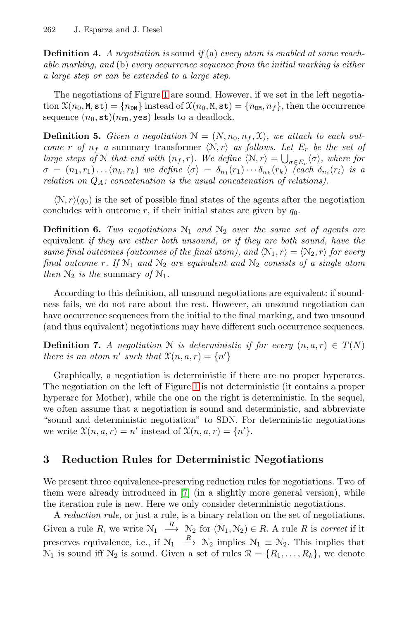**Definition 4.** *A negotiation is* sound *if* (a) *every atom is enabled at some reachable marking, and* (b) *every occurrence sequence from the initial marking is either a large step or can be extended to a large step.*

The negotiations of Figure 1 are sound. However, if we set in the left negotiation  $\mathfrak{X}(n_0, M, \mathtt{st}) = \{n_{DM}\}\$ instead of  $\mathfrak{X}(n_0, M, \mathtt{st}) = \{n_{DM}, n_f\}$ , then the occurrence sequence  $(n_0, \text{st})(n_{\text{FD}}, \text{yes})$  leads to a deadlock.

**Definition 5.** *Given a negotiation*  $N = (N, n_0, n_f, \mathcal{X})$ *, we attach to each outcome* r of  $n_f$  *a* summary transformer  $\langle N, r \rangle$  *as follows. Let*  $E_r$  *be the set of large steps of*  $N$  *that end with*  $(n_f, r)$ *. We define*  $\langle N, r \rangle = \bigcup_{\sigma \in E_r} \langle \sigma \rangle$ *, where for*  $\sigma = (n_1, r_1) \dots (n_k, r_k)$  *we define*  $\langle \sigma \rangle = \delta_{n_1}(r_1) \cdots \delta_{n_k}(r_k)$  *(each*  $\delta_{n_i}(r_i)$  *is a relation on* QA*; concatenation is the usual concatenation of relations).*

 $\langle \mathcal{N}, r \rangle (q_0)$  is the set of possible final states of the agents after the negotiation concludes with outcome r, if their initial states are given by  $q_0$ .

**Definition 6.** *Two negotiations*  $N_1$  *and*  $N_2$  *over the same set of agents are* equivalent *if they are either both unsound, or if they are both sound, have the same final outcomes (outcomes of the final atom), and*  $\langle N_1, r \rangle = \langle N_2, r \rangle$  for every *final outcome r. If*  $\mathcal{N}_1$  *and*  $\mathcal{N}_2$  *are equivalent and*  $\mathcal{N}_2$  *consists of a single atom then*  $\mathcal{N}_2$  *is the* summary *of*  $\mathcal{N}_1$ *.* 

<span id="page-4-0"></span>According to this definition, all unsound negotiations are equivalent: if soundness fails, we do n[ot](#page-2-0) care about the rest. However, an unsound negotiation can have occurrence sequences from the initial to the final marking, and two unsound (and thus equivalent) negotiations may have different such occurrence sequences.

**Definition 7.** *A negotiation* N *is deterministic if for every*  $(n, a, r) \in T(N)$ *there is an atom*  $n'$  *such that*  $\mathfrak{X}(n, a, r) = \{n'\}$ 

Graphically, a negotiation is deterministic if there are no proper hyperarcs. The negotiation on the left of Figure 1 is not deterministic (it contains a proper hyperarc for Mother), while the one on the right is deterministic. In the sequel, we often assum[e t](#page-14-0)hat a negotiation is sound and deterministic, and abbreviate "sound and deterministic negotiation" to SDN. For deterministic negotiations we write  $\mathfrak{X}(n, a, r) = n'$  instead of  $\mathfrak{X}(n, a, r) = \{n'\}.$ 

# **3 Reduction Rules for Deterministic Negotiations**

We present three equivalence-preserving reduction rules for negotiations. Two of them were already introduced in [7] (in a slightly more general version), while the iteration rule is new. Here we only consider deterministic negotiations.

A *reduction rule*, or just a rule, is a binary relation on the set of negotiations. Given a rule R, we write  $\mathcal{N}_1 \xrightarrow{R} \mathcal{N}_2$  for  $(\mathcal{N}_1, \mathcal{N}_2) \in R$ . A rule R is *correct* if it preserves equivalence, i.e., if  $\mathcal{N}_1 \stackrel{R}{\longrightarrow} \mathcal{N}_2$  implies  $\mathcal{N}_1 \equiv \mathcal{N}_2$ . This implies that  $\mathcal{N}_1$  is sound iff  $\mathcal{N}_2$  is sound. Given a set of rules  $\mathcal{R} = \{R_1, \ldots, R_k\}$ , we denote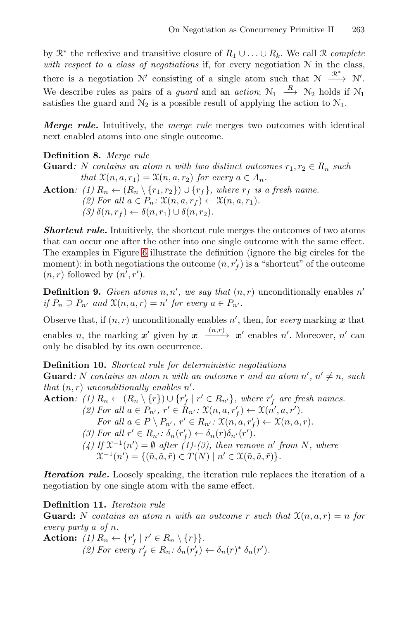by  $\mathcal{R}^*$  the reflexive and transitive closure of  $R_1 \cup \ldots \cup R_k$ . We call  $\mathcal{R}$  *complete with respect to a class of negotiations* if, for every negotiation N in the class, there is a negotiation  $\mathcal{N}'$  consisting of a single atom such that  $\mathcal{N} \xrightarrow{\mathcal{R}^*} \mathcal{N}'$ . We describe rules as pairs of a *guard* and an *action*;  $N_1 \longrightarrow N_2$  holds if  $N_1$ satisfies the guard and  $\mathcal{N}_2$  is a possible result of applying the action to  $\mathcal{N}_1$ .

*Merge rule.* Intuitively, the *merge rule* merges two outcomes with identical next enabled atoms into one single outcome.

# **Definition 8.** *Merge rule*

**Guar[d](#page-12-0)**: N contains an atom n with two distinct outcomes  $r_1, r_2 \in R_n$  such *that*  $\mathfrak{X}(n, a, r_1) = \mathfrak{X}(n, a, r_2)$  *for every*  $a \in A_n$ *.* 

**Action***:* (1)  $R_n \leftarrow (R_n \setminus \{r_1, r_2\}) \cup \{r_f\}$ *, where*  $r_f$  *is a fresh name.* (2) For all  $a \in P_n$ :  $\mathfrak{X}(n, a, r_f) \leftarrow \mathfrak{X}(n, a, r_1)$ .  $(3)$   $\delta(n, r_f) \leftarrow \delta(n, r_1) \cup \delta(n, r_2)$ .

*Shortcut rule.* Intuitively, the shortcut rule merges the outcomes of two atoms that can occur one after the other into one single outcome with the same effect. The examples in Figure 6 illustrate the definition (ignore the big circles for the moment): in both negotiations the outcome  $(n, r'_f)$  is a "shortcut" of the outcome  $(n, r)$  followed by  $(n', r')$ .

**Definition 9.** *Given atoms*  $n, n'$ , we say that  $(n, r)$  unconditionally enables  $n'$ *if*  $P_n \supseteq P_{n'}$  and  $\mathfrak{X}(n, a, r) = n'$  for every  $a \in P_{n'}$ .

Observe that, if  $(n, r)$  unconditionally enables  $n'$ , then, for *every* marking x that enables *n*, the marking  $x'$  given by  $x \xrightarrow{(n,r)} x'$  enables *n'*. Moreover, *n'* can only be disabled by its own occurrence.

#### **Definition 10.** *Shortcut rule for deterministic negotiations*

**Guard**: N contains an atom n with an outcome r and an atom  $n'$ ,  $n' \neq n$ , such *that*  $(n, r)$  *unconditionally enables n'.* 

**Action**: (1)  $R_n \leftarrow (R_n \setminus \{r\}) \cup \{r'_f \mid r' \in R_{n'}\}$ , where  $r'_f$  are fresh names.

- *(2) For all*  $a \in P_{n'}$ ,  $r' \in R_{n'}$ :  $\mathfrak{X}(n, a, r'_{f}) \leftarrow \mathfrak{X}(n', a, r')$ . *For all*  $a \in P \setminus P_{n'}$ ,  $r' \in R_{n'}$ :  $\mathfrak{X}(n, a, r'_f) \leftarrow \mathfrak{X}(n, a, r)$ *.*
- (3) For all  $r' \in R_{n'}$ :  $\delta_n(r'_f) \leftarrow \delta_n(r) \delta_{n'}(r')$ .
- (4) If  $\mathfrak{X}^{-1}(n') = \emptyset$  after (1)-(3), then remove n' from N, where  $\mathfrak{X}^{-1}(n') = \{(\tilde{n}, \tilde{a}, \tilde{r}) \in T(N) \mid n' \in \mathfrak{X}(\tilde{n}, \tilde{a}, \tilde{r})\}.$

*Iteration rule.* Loosely speaking, the iteration rule replaces the iteration of a negotiation by one single atom with the same effect.

**Definition 11.** *Iteration rule*

**Guard:** N *contains an atom* n with an *outcome* r *such that*  $\mathfrak{X}(n, a, r) = n$  *for every party* a *of* n*.*

**Action:**  $(1)$   $R_n \leftarrow \{r'_f \mid r' \in R_n \setminus \{r\}\}.$ (2) For every  $r'_f \in R_n$ :  $\delta_n(r'_f) \leftarrow \delta_n(r)^* \delta_n(r')$ .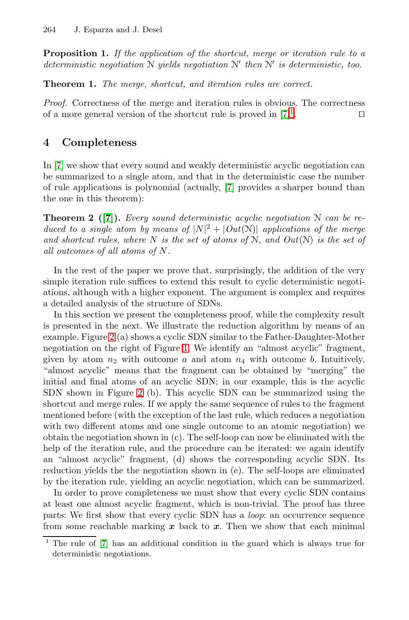<span id="page-6-1"></span><span id="page-6-0"></span>**Proposition 1.** *If the application of the shortcut, merge or iteration rule to a deterministic negotiation* N *yields negotiation* N' *then* N' *is deterministic, too.* 

**Theorem 1.** *The merge, shortcut, and iteration rules are correct.*

*Proof.* Correctness of the [me](#page-14-0)rge and iteration rules is obvious. The correctness of a more general version of the shortcut rule is proved in  $[7]^1$ .

# **4 Completeness**

In [7] we show that every sound and weakly deterministic acyclic negotiation can be summarized to a single atom, and that in the deterministic case the number of rule applications is polynomial (actually, [7] provides a sharper bound than the one in this theorem):

**Theorem 2 ([7]).** *Every sound deterministic acyclic negotiation* N *can be re*duced to a single atom by means of  $|N|^2 + |Out(N)|$  applications of the merge *and shortcut rules, where* N *is the set of atoms of* N*, and Out*(N) *is the set of all outcomes of all atoms of* N*.*

In the rest of [th](#page-2-0)e paper we prove that, surprisingly, the addition of the very simple iteration rule suffices to extend this result to cyclic deterministic negotiations, although with a higher exponent. The argument is complex and requires a det[ai](#page-7-0)led analysis of the structure of SDNs.

In this section we present the completeness proof, while the complexity result is presented in the next. We illustrate the reduction algorithm by means of an example. Figure 2 (a) shows a cyclic SDN similar to the Father-Daughter-Mother negotiation on the right of Figure 1. We identify an "almost acyclic" fragment, given by atom  $n_2$  with outcome a and atom  $n_4$  with outcome b. Intuitively, "almost acyclic" means that the fragment can be obtained by "merging" the initial and final atoms of an acyclic SDN; in our example, this is the acyclic SDN shown in Figure 2 (b). This acyclic SDN can be summarized using the shortcut and merge rules. If we apply the same sequence of rules to the fragment mentioned before (with the exception of the last rule, which reduces a negotiation with two different atoms and one single outcome to an atomic negotiation) we obtain the negotiation shown in (c). The self-loop can now be eliminated with the help of the iteration rule, and the procedure can be iterated: we again identify an "almost acyclic" fragment, (d) shows the corresponding acyclic SDN. Its reduction yields the the negotiation shown in (e). The self-loops are eliminated by the iteration rule, yielding an acyclic negotiation, which can be summarized.

In order to prove completeness we must show that every cyclic SDN contains at least one almost acyclic fragment, which is non-trivial. The proof has three parts: We first show that every cyclic SDN has a *loop*: an occurrence sequence from some reachable marking *x* back to *x*. Then we show that each minimal

<sup>1</sup> The rule of [7] has an additional condition in the guard which is always true for deterministic negotiations.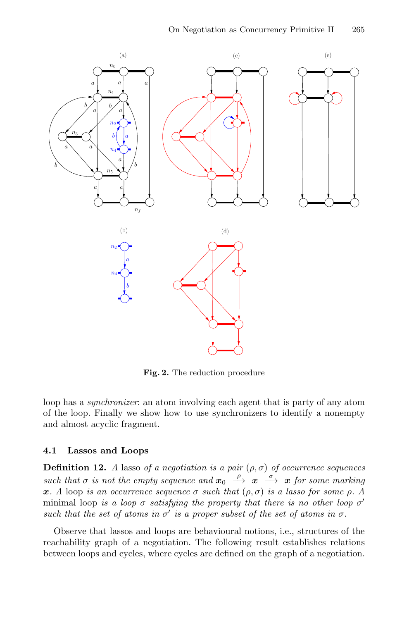

<span id="page-7-0"></span>**Fig. 2.** The reduction procedure

loop has a *synchronizer*: an atom involving each agent that is party of any atom of the loop. Finally we show how to use synchronizers to identify a nonempty and almost acyclic fragment.

## **4.1 Lassos and Loops**

<span id="page-7-1"></span>**Definition 12.** *A* lasso *of a negotiation is a pair*  $(\rho, \sigma)$  *of occurrence sequences* such that  $\sigma$  *is not the empty sequence and*  $x_0 \rightarrow x \rightarrow x$  *for some marking x. A* loop *is an occurrence sequence* σ *such that*  $(ρ, σ)$  *is a lasso for some*  $ρ$ *. A* minimal loop *is a loop*  $\sigma$  *satisfying the property that there is no other loop*  $\sigma'$ *such that the set of atoms in*  $\sigma'$  *is a proper subset of the set of atoms in*  $\sigma$ *.* 

Observe that lassos and loops are behavioural notions, i.e., structures of the reachability graph of a negotiation. The following result establishes relations between loops and cycles, where cycles are defined on the graph of a negotiation.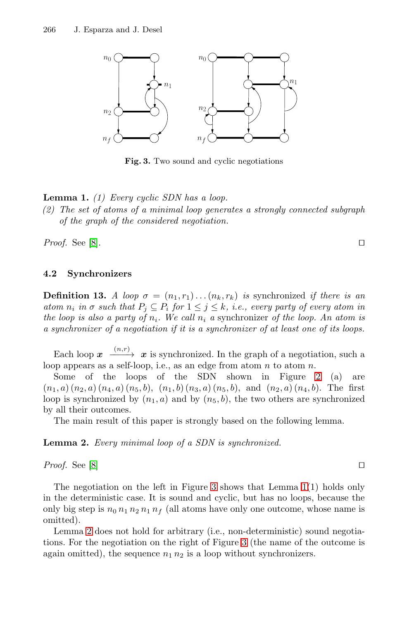<span id="page-8-0"></span>

**Fig. 3.** Two sound and cyclic negotiations

**Lemma 1.** *(1) Every cyclic SDN has a loop.*

*(2) The set of atoms of a minimal loop generates a strongly connected subgraph of the graph of the considered negotiation.*

*Proof.* See [8]. □

# <span id="page-8-1"></span>**4.2 Synchronizers**

**Definition 13.** *A loop*  $\sigma = (n_1, r_1) \dots (n_k, r_k)$  *[is](#page-7-0)* synchronized *if there is an atom*  $n_i$  *in*  $\sigma$  *such that*  $P_i \subseteq P_i$  *for*  $1 \leq j \leq k$ *, i.e., every party of every atom in the loop is also a party of*  $n_i$ *. We call*  $n_i$  *a* synchronizer *of the loop. An atom is a synchronizer of a negotiation if it is a synchronizer of at least one of its loops.*

Each loop  $x \xrightarrow{(n,r)} x$  is synchronized. In the graph of a negotiation, such a loop appears as a self-loop, i.e., as an edge from atom  $n$  to atom  $n$ .

Some of the loops of the SDN shown in Figure 2 (a) are  $(n_1, a)$   $(n_2, a)$   $(n_4, a)$   $(n_5, b)$ ,  $(n_1, b)$   $(n_3, a)$   $(n_5, b)$ , and  $(n_2, a)$   $(n_4, b)$ . The first loop is synchronized by  $(n_1, a)$  and by  $(n_5, b)$ [, t](#page-7-1)he two others are synchronized by all their outcomes.

The main result of this paper is strongly based on the following lemma.

**Lemma 2.** *Every minimal loop of a SDN is synchronized.*

*Proof.* See [8] □

The negotiation on the left in Figure 3 shows that Lemma 1(1) holds only in the deterministic case. It is sound and cyclic, but has no loops, because the only big step is  $n_0 n_1 n_2 n_1 n_f$  (all atoms have only one outcome, whose name is omitted).

Lemma 2 does not hold for arbitrary (i.e., non-deterministic) sound negotiations. For the negotiation on the right of Figure 3 (the name of the outcome is again omitted), the sequence  $n_1 n_2$  is a loop without synchronizers.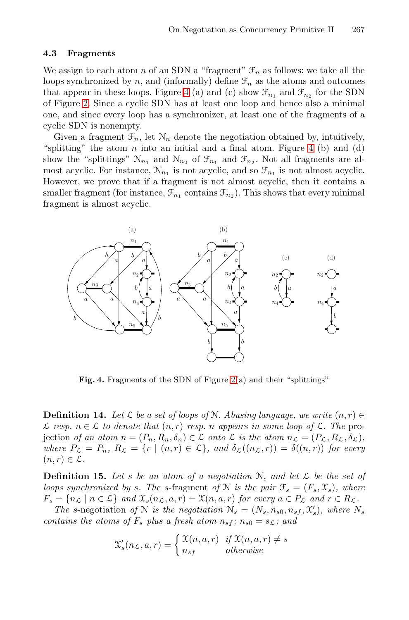#### **4.3 Fragments**

We assign to each atom n of an SDN a "fragme[nt"](#page-9-0)  $\mathcal{F}_n$  as follows: we take all the loops synchronized by n, and (informally) define  $\mathcal{F}_n$  as the atoms and outcomes that appear in these loops. Figure 4 (a) and (c) show  $\mathcal{F}_{n_1}$  and  $\mathcal{F}_{n_2}$  for the SDN of Figure 2. Since a cyclic SDN has at least one loop and hence also a minimal one, and since every loop has a synchronizer, at least one of the fragments of a cyclic SDN is nonempty.

Given a fragment  $\mathcal{F}_n$ , let  $\mathcal{N}_n$  denote the negotiation obtained by, intuitively, "splitting" the atom  $n$  into an initial and a final atom. Figure 4 (b) and (d) show the "splittings"  $\mathcal{N}_{n_1}$  and  $\mathcal{N}_{n_2}$  of  $\mathcal{F}_{n_1}$  and  $\mathcal{F}_{n_2}$ . Not all fragments are almost acyclic. For instance,  $\mathcal{N}_{n_1}$  is not acyclic, and so  $\mathcal{F}_{n_1}$  is not almost acyclic. However, we prove that if a fragment is not almost acyclic, then it contains a smaller fragment (for instance,  $\mathcal{F}_{n_1}$  contains  $\mathcal{F}_{n_2}$ ). This shows that every minimal fragment is almost acyclic.

<span id="page-9-0"></span>

Fig. 4. Fragments of the SDN of Figure 2(a) and their "splittings"

<span id="page-9-1"></span>**Definition 14.** Let  $\mathcal{L}$  be a set of loops of N. Abusing language, we write  $(n, r) \in$ L *resp.* n ∈ L *to denote that* (n, r) *resp.* n *appears in some loop of* L*. The* projection *of an atom*  $n = (P_n, R_n, \delta_n) \in \mathcal{L}$  *onto*  $\mathcal{L}$  *is the atom*  $n_{\mathcal{L}} = (P_{\mathcal{L}}, R_{\mathcal{L}}, \delta_{\mathcal{L}})$ *, where*  $P_{\mathcal{L}} = P_n$ ,  $R_{\mathcal{L}} = \{r \mid (n, r) \in \mathcal{L}\}$ , and  $\delta_{\mathcal{L}}((n_{\mathcal{L}}, r)) = \delta((n, r))$  for every  $(n, r) \in \mathcal{L}$ .

**Definition 15.** *Let* s *be an atom of a negotiation* N*, and let* L *be the set of loops synchronized by s. The s-fragment of* N *is the pair*  $\mathcal{F}_s = (F_s, \mathcal{X}_s)$ *, where*  $F_s = \{n_{\mathcal{L}} \mid n \in \mathcal{L}\}\$ and  $\mathfrak{X}_s(n_{\mathcal{L}}, a, r) = \mathfrak{X}(n, a, r)$  *for every*  $a \in P_{\mathcal{L}}\$ and  $r \in R_{\mathcal{L}}\$ .

*The* s-negotiation of N is the negotiation  $N_s = (N_s, n_{s0}, n_{sf}, \mathcal{X}'_s)$ , where  $N_s$ *contains the atoms of*  $F_s$  *plus a fresh atom*  $n_{sf}$ ;  $n_{s0} = s_{\mathcal{L}}$ ; and

$$
\mathcal{X}'_s(n_{\mathcal{L}}, a, r) = \begin{cases} \mathcal{X}(n, a, r) & \text{if } \mathcal{X}(n, a, r) \neq s \\ n_{sf} & \text{otherwise} \end{cases}
$$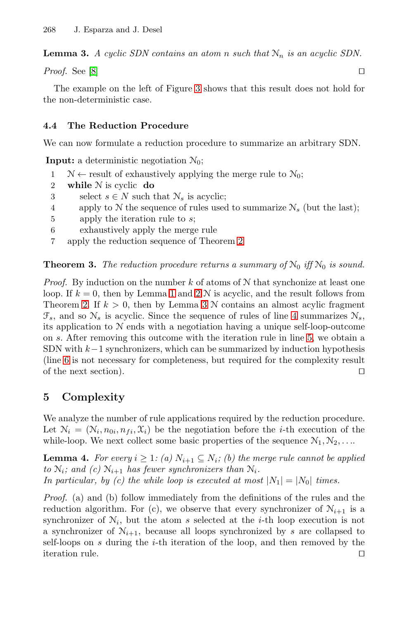**Lemma 3.** *A cyclic SDN contains an atom n such that*  $N_n$  *is an acyclic SDN.* 

*Proof.* See [8] □

The example on the left of Figure 3 shows that this result does not hold for the non-deterministic case.

#### **4.4 The Reduction Procedure**

We can now formulate a reduction procedure to summarize an arbitrary SDN.

**Input:** a deterministic negot[iat](#page-6-1)ion  $\mathcal{N}_0$ ;

- 1  $\mathcal{N} \leftarrow$  result of exhaustively applying the merge rule to  $\mathcal{N}_0$ ;<br>2 while  $\mathcal{N}$  is cyclic **do**
- 2 **while** N is cyclic **do**
- 3 select  $s \in N$  such that  $\mathcal{N}_s$  is acyclic;<br>4 apply to  $\mathcal N$  the sequence of rules used
- appl[y](#page-7-1) [t](#page-8-1)o N the sequence of rules used to summarize  $N_s$  (but the last);
- <span id="page-10-0"></span>5 apply the it[er](#page-9-1)ation rule to s;
- 6 exhaustively apply the merge rule
- 7 apply the reduction sequence of Theorem 2

**Theorem 3.** *The reduction procedure returns a summary of*  $\mathcal{N}_0$  *iff*  $\mathcal{N}_0$  *is sound.* 

<span id="page-10-1"></span>*Proof.* By induction on the number k of atoms of  $N$  that synchonize at least one loop. If  $k = 0$ , then by Lemma 1 and 2 N is acyclic, and the result follows from Theorem 2. If  $k > 0$ , then by Lemma 3 N contains an almost acylic fragment  $\mathcal{F}_s$ , and so  $\mathcal{N}_s$  is acyclic. Since the sequence of rules of line 4 summarizes  $\mathcal{N}_s$ , its application to N ends with a negotiation having a unique self-loop-outcome on s. After removing this outcome with the iteration rule in line 5, we obtain a SDN with  $k-1$  synchronizers, which can be summarized by induction hypothesis (line 6 is not necessary for completeness, but required for the complexity result of the next section).

# **5 Complexity**

We analyze the number of rule applications required by the reduction procedure. Let  $N_i = (N_i, n_{0i}, n_{fi}, \mathcal{X}_i)$  be the negotiation before the *i*-th execution of the while-loop. We next collect some basic properties of the sequence  $N_1, N_2, \ldots$ 

**Lemma 4.** *For every*  $i \geq 1$ *:* (a)  $N_{i+1} \subseteq N_i$ *;* (b) the merge rule cannot be applied *to*  $\mathcal{N}_i$ *; and (c)*  $\mathcal{N}_{i+1}$  *has fewer synchronizers than*  $\mathcal{N}_i$ *.* 

In particular, by (c) the while loop is executed at most  $|N_1| = |N_0|$  times.

*Proof.* (a) and (b) follow immediately from the definitions of the rules and the reduction algorithm. For (c), we observe that every synchronizer of  $\mathcal{N}_{i+1}$  is a synchronizer of  $N_i$ , but the atom s selected at the *i*-th loop execution is not a synchronizer of  $\mathcal{N}_{i+1}$ , because all loops synchronized by s are collapsed to self-loops on  $s$  during the  $i$ -th iteration of the loop, and then removed by the iteration rule.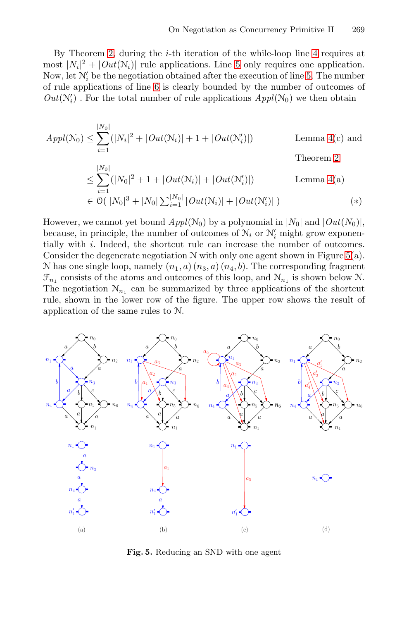By Theorem 2, during the  $i$ -th iteration of the [wh](#page-10-1)ile-loop line 4 requires at most  $|N_i|^2 + |Out(N_i)|$  rule applications. Line 5 only requires one application. Now, let  $\mathcal{N}'_i$  be the negotiation obtained after the exec[uti](#page-6-1)on of line 5. The number of rule applications of line 6 is clearly bounded by the number of outcomes of  $Out(\mathcal{N}'_i)$ . For the total number of rule applications  $Appl(\mathcal{N}_0)$  $Appl(\mathcal{N}_0)$  we then obtain

$$
Appl(\mathcal{N}_0) \le \sum_{i=1}^{|N_0|} (|N_i|^2 + |Out(\mathcal{N}_i)| + 1 + |Out(\mathcal{N}'_i)|)
$$
 Lemma 4(c) and  
Theorem 2

$$
\leq \sum_{i=1}^{\infty} (|N_0|^2 + 1 + |Out(\mathcal{N}_i)| + |Out(\mathcal{N}'_i)|) \qquad \text{Lemma 4(a)}
$$
  
\n
$$
\in \mathcal{O}(|N_0|^3 + |N_0| \sum_{i=1}^{|N_0|} |Out(\mathcal{N}_i)| + |Out(\mathcal{N}'_i)| ) \qquad (*)
$$

However, we cannot yet bound  $Appl(N_0)$  by a polynomial in  $|N_0|$  and  $|Out(N_0)|$ , because, in principle, the number of outcomes of  $\mathcal{N}_i$  or  $\mathcal{N}'_i$  might grow exponentially with i. Indeed, the shortcut rule can increase the number of outcomes. Consider the degenerate negotiation  $N$  with only one agent shown in Figure 5(a). N has one single loop, namely  $(n_1, a)$   $(n_3, a)$   $(n_4, b)$ . The corresponding fragment  $\mathcal{F}_{n_1}$  consists of the atoms and outcomes of this loop, and  $\mathcal{N}_{n_1}$  is shown below N. The negotiation  $N_{n_1}$  can be summarized by three applications of the shortcut rule, shown in the lower row of the figure. The upper row shows the result of application of the same rules to N.



**Fig. 5.** Reducing an SND with one agent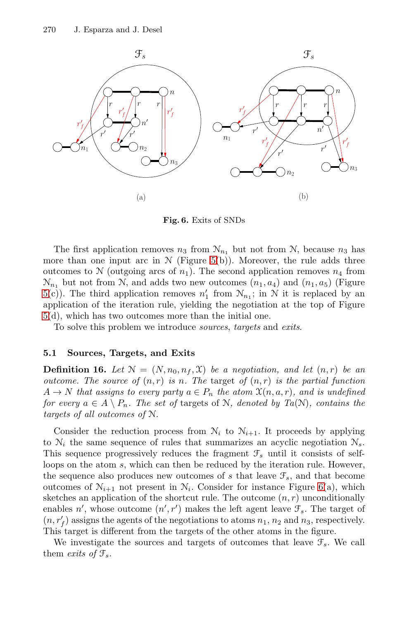<span id="page-12-0"></span>

**Fig. 6.** Exits of SNDs

The first application removes  $n_3$  from  $\mathcal{N}_{n_1}$  but not from  $\mathcal{N}_2$ , because  $n_3$  has more than one input arc in  $N$  (Figure 5(b)). Moreover, the rule adds three outcomes to N (outgoing arcs of  $n_1$ ). The second application removes  $n_4$  from  $\mathcal{N}_{n_1}$  but not from  $\mathcal{N}_2$ , and adds two new outcomes  $(n_1, a_4)$  and  $(n_1, a_5)$  (Figure 5(c)). The third application removes  $n'_1$  from  $\mathcal{N}_{n_1}$ ; in  $\mathcal N$  it is replaced by an application of the iteration rule, yielding the negotiation at the top of Figure 5(d), which has two outcomes more than the initial one.

To solve this problem we introduce *sources*, *targets* and *exits*.

## **5.1 Sources, Targets, and Exits**

**Definition 16.** Let  $N = (N, n_0, n_f, \mathcal{X})$  be a negotiation, and let  $(n, r)$  be an *outcome. The source of*  $(n,r)$  *is n.* The target *of*  $(n,r)$  *is the partial function*  $A \rightarrow N$  *that assigns to every party*  $a \in P_n$  *the atom*  $\mathfrak{X}(n, a, r)$ *, and is undefined for every*  $a \in A \setminus P_n$ *. The set of targets of N, d[eno](#page-12-0)ted by Ta(N), contains the targets of all outcomes of* N*.*

Consider the reduction process from  $N_i$  to  $N_{i+1}$ . It proceeds by applying to  $N_i$  the same sequence of rules that summarizes an acyclic negotiation  $N_s$ . This sequence progressively reduces the fragment  $\mathcal{F}_s$  until it consists of selfloops on the atom s, which can then be reduced by the iteration rule. However, the sequence also produces new outcomes of s that leave  $\mathcal{F}_s$ , and that become outcomes of  $N_{i+1}$  not present in  $N_i$ . Consider for instance Figure 6(a), which sketches an application of the shortcut rule. The outcome  $(n, r)$  unconditionally enables  $n'$ , whose outcome  $(n', r')$  makes the left agent leave  $\mathcal{F}_s$ . The target of  $(n, r'_f)$  assigns the agents of the negotiations to atoms  $n_1, n_2$  and  $n_3$ , respectively. This target is different from the targets of the other atoms in the figure.

We investigate the sources and targets of outcomes that leave  $\mathcal{F}_s$ . We call them *exits of*  $\mathcal{F}_s$ .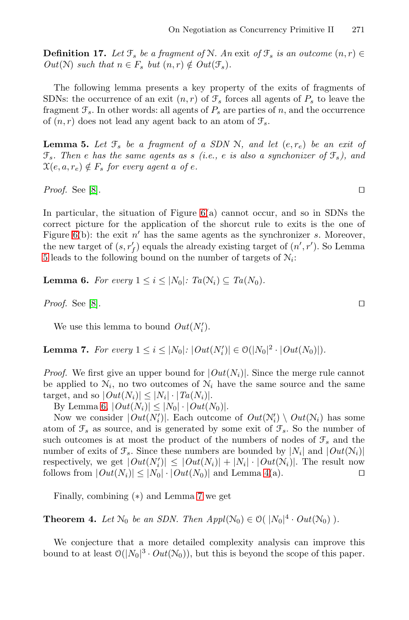**Definition 17.** *Let*  $\mathcal{F}_s$  *be a fragment of* N. An exit of  $\mathcal{F}_s$  *is an outcome*  $(n, r) \in$  $Out(N)$  *such that*  $n \in F_s$  *but*  $(n, r) \notin Out(\mathcal{F}_s)$ *.* 

The following lemma presents a key property of the exits of fragments of SDNs: the occurrence of an exit  $(n, r)$  of  $\mathcal{F}_s$  forces all agents of  $P_s$  to leave the fragment  $\mathcal{F}_s$ . In other words: all agents of  $P_s$  are parties of n, and the occurrence of  $(n, r)$  [d](#page-12-0)oes not lead any agent back to an atom of  $\mathcal{F}_s$ .

<span id="page-13-0"></span>**Lemma 5.** Let  $\mathcal{F}_s$  be a fragment of a SDN N, and let  $(e, r_e)$  be an exit of  $\mathfrak{F}_s$ . Then e has the same agents as s (i.e., e is also a synchonizer of  $\mathfrak{F}_s$ ), and  $\mathfrak{X}(e, a, r_e) \notin F_s$  *for every agent a of e.* 

*Proof.* See [8]. □

In particular, the situation of Figure  $6(a)$  cannot occur, and so in SDNs the correct picture for the application of the shorcut rule to exits is the one of Figure 6(b): the exit  $n'$  has the same agents as the synchronizer s. Moreover, the new target of  $(s, r'_f)$  equals the already existing target of  $(n', r')$ . So Lemma 5 leads to the following bound on the number of targets of  $N_i$ :

**Lemma 6.** *For every*  $1 \leq i \leq |N_0|$ *:*  $Ta(N_i) \subseteq Ta(N_0)$ *.* 

*Proof.* See [8]. □

We use this lemma to bound  $Out(N'_i)$ .

**Lemma 7.** *For every*  $1 \leq i \leq |N_0|$ :  $|Out(N'_i)| \in O(|N_0|^2 \cdot |Out(N_0)|)$ *.* 

*Proof.* We first give an upper bound for  $|Out(N_i)|$ . Since the merge rule cannot be applied to  $\mathcal{N}_i$ , no two outcomes [of](#page-10-1)  $\mathcal{N}_i$  have the same source and the same target, and so  $|Out(N_i)| \leq |N_i| \cdot |Ta(N_i)|$ .

By Lemma 6,  $|Out(N_i)| \leq |N_0| \cdot |Out(N_0)|$  $|Out(N_i)| \leq |N_0| \cdot |Out(N_0)|$  $|Out(N_i)| \leq |N_0| \cdot |Out(N_0)|$ .

Now we consider  $|Out(N'_i)|$ . Each outcome of  $Out(N'_i) \setminus Out(N_i)$  has some atom of  $\mathcal{F}_s$  as source, and is generated by some exit of  $\mathcal{F}_s$ . So the number of such outcomes is at most the product of the numbers of nodes of  $\mathcal{F}_s$  and the number of exits of  $\mathcal{F}_s$ . Since these numbers are bounded by  $|N_i|$  and  $|Out(\mathcal{N}_i)|$ respectively, we get  $|Out(N_i')| \leq |Out(N_i)| + |N_i| \cdot |Out(N_i)|$ . The result now follows from  $|Out(N_i)| \leq |N_0| \cdot |Out(N_0)|$  and Lemma 4(a).

Finally, combining (∗) and Lemma 7 we get

**Theorem 4.** *Let*  $\mathcal{N}_0$  *be an SDN. Then Appl*( $\mathcal{N}_0$ )  $\in \mathcal{O}(|N_0|^4 \cdot Out(\mathcal{N}_0))$ .

We conjecture that a more detailed complexity analysis can improve this bound to at least  $\mathcal{O}(|N_0|^3 \cdot Out(\mathcal{N}_0))$ , but this is beyond the scope of this paper.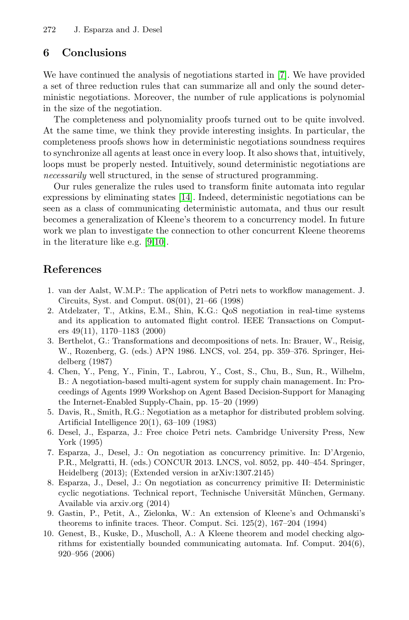# **6 Conclusions**

We have continued the analysis of negotiations started in [7]. We have provided a set of three reduction rules that can summarize all and only the sound deterministic negotiations. Moreover, the number of rule applications is polynomial in the size of th[e n](#page-15-2)egotiation.

<span id="page-14-3"></span><span id="page-14-2"></span>The completeness and polynomiality proofs turned out to be quite involved. At the same time, we think they provide interesting insights. In particular, the completeness proofs shows how in deterministic negotiations soundness requires to sync[hr](#page-14-5)[oni](#page-14-6)ze all agents at least once in every loop. It also shows that, intuitively, loops must be properly nested. Intuitively, sound deterministic negotiations are *necessarily* well structured, in the sense of structured programming.

Our rules generalize the rules used to transform finite automata into regular expressions by eliminating states [14]. Indeed, deterministic negotiations can be seen as a class of communicating deterministic automata, and thus our result becomes a generalization of Kleene's theorem to a concurrency model. In future work we plan to investigate the connection to other concurrent Kleene theorems in the literature like e.g. [9,10].

# <span id="page-14-1"></span>**References**

- <span id="page-14-0"></span>1. van der Aalst, W.M.P.: The application of Petri nets to workflow management. J. Circuits, Syst. and Comput. 08(01), 21–66 (1998)
- <span id="page-14-4"></span>2. Atdelzater, T., Atkins, E.M., Shin, K.G.: QoS negotiation in real-time systems and its application to automated flight control. IEEE Transactions on Computers 49(11), 1170–1183 (2000)
- <span id="page-14-5"></span>3. Berthelot, G.: Transformations and decompositions of nets. In: Brauer, W., Reisig, W., Rozenberg, G. (eds.) APN 1986. LNCS, vol. 254, pp. 359–376. Springer, Heidelberg (1987)
- <span id="page-14-6"></span>4. Chen, Y., Peng, Y., Finin, T., Labrou, Y., Cost, S., Chu, B., Sun, R., Wilhelm, B.: A negotiation-based multi-agent system for supply chain management. In: Proceedings of Agents 1999 Workshop on Agent Based Decision-Support for Managing the Internet-Enabled Supply-Chain, pp. 15–20 (1999)
- 5. Davis, R., Smith, R.G.: Negotiation as a metaphor for distributed problem solving. Artificial Intelligence 20(1), 63–109 (1983)
- 6. Desel, J., Esparza, J.: Free choice Petri nets. Cambridge University Press, New York (1995)
- 7. Esparza, J., Desel, J.: On negotiation as concurrency primitive. In: D'Argenio, P.R., Melgratti, H. (eds.) CONCUR 2013. LNCS, vol. 8052, pp. 440–454. Springer, Heidelberg (2013); (Extended version in arXiv:1307.2145)
- 8. Esparza, J., Desel, J.: On negotiation as concurrency primitive II: Deterministic cyclic negotiations. Technical report, Technische Universität München, Germany. Available via arxiv.org (2014)
- 9. Gastin, P., Petit, A., Zielonka, W.: An extension of Kleene's and Ochmanski's theorems to infinite traces. Theor. Comput. Sci. 125(2), 167–204 (1994)
- 10. Genest, B., Kuske, D., Muscholl, A.: A Kleene theorem and model checking algorithms for existentially bounded communicating automata. Inf. Comput. 204(6), 920–956 (2006)